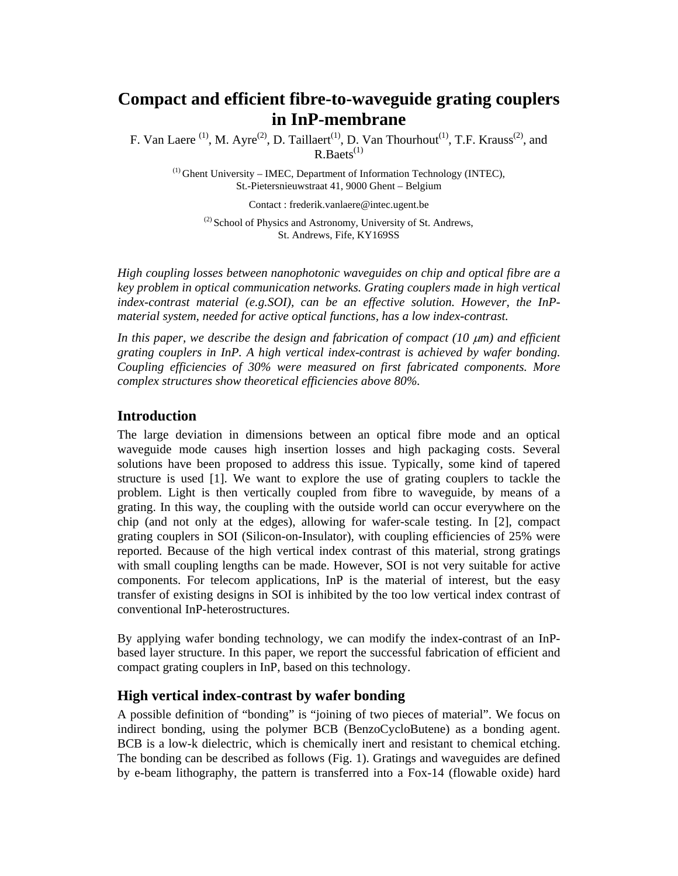# **Compact and efficient fibre-to-waveguide grating couplers in InP-membrane**

F. Van Laere <sup>(1)</sup>, M. Ayre<sup>(2)</sup>, D. Taillaert<sup>(1)</sup>, D. Van Thourhout<sup>(1)</sup>, T.F. Krauss<sup>(2)</sup>, and  $R.Baets^{(1)}$ 

 $<sup>(1)</sup>$  Ghent University – IMEC, Department of Information Technology (INTEC),</sup> St.-Pietersnieuwstraat 41, 9000 Ghent – Belgium

Contact : frederik.vanlaere@intec.ugent.be

<sup>(2)</sup> School of Physics and Astronomy, University of St. Andrews, St. Andrews, Fife, KY169SS

*High coupling losses between nanophotonic waveguides on chip and optical fibre are a key problem in optical communication networks. Grating couplers made in high vertical index-contrast material (e.g.SOI), can be an effective solution. However, the InPmaterial system, needed for active optical functions, has a low index-contrast.* 

*In this paper, we describe the design and fabrication of compact (10*  $\mu$ *m) and efficient grating couplers in InP. A high vertical index-contrast is achieved by wafer bonding. Coupling efficiencies of 30% were measured on first fabricated components. More complex structures show theoretical efficiencies above 80%.* 

### **Introduction**

The large deviation in dimensions between an optical fibre mode and an optical waveguide mode causes high insertion losses and high packaging costs. Several solutions have been proposed to address this issue. Typically, some kind of tapered structure is used [1]. We want to explore the use of grating couplers to tackle the problem. Light is then vertically coupled from fibre to waveguide, by means of a grating. In this way, the coupling with the outside world can occur everywhere on the chip (and not only at the edges), allowing for wafer-scale testing. In [2], compact grating couplers in SOI (Silicon-on-Insulator), with coupling efficiencies of 25% were reported. Because of the high vertical index contrast of this material, strong gratings with small coupling lengths can be made. However, SOI is not very suitable for active components. For telecom applications, InP is the material of interest, but the easy transfer of existing designs in SOI is inhibited by the too low vertical index contrast of conventional InP-heterostructures.

By applying wafer bonding technology, we can modify the index-contrast of an InPbased layer structure. In this paper, we report the successful fabrication of efficient and compact grating couplers in InP, based on this technology.

## **High vertical index-contrast by wafer bonding**

A possible definition of "bonding" is "joining of two pieces of material". We focus on indirect bonding, using the polymer BCB (BenzoCycloButene) as a bonding agent. BCB is a low-k dielectric, which is chemically inert and resistant to chemical etching. The bonding can be described as follows (Fig. 1). Gratings and waveguides are defined by e-beam lithography, the pattern is transferred into a Fox-14 (flowable oxide) hard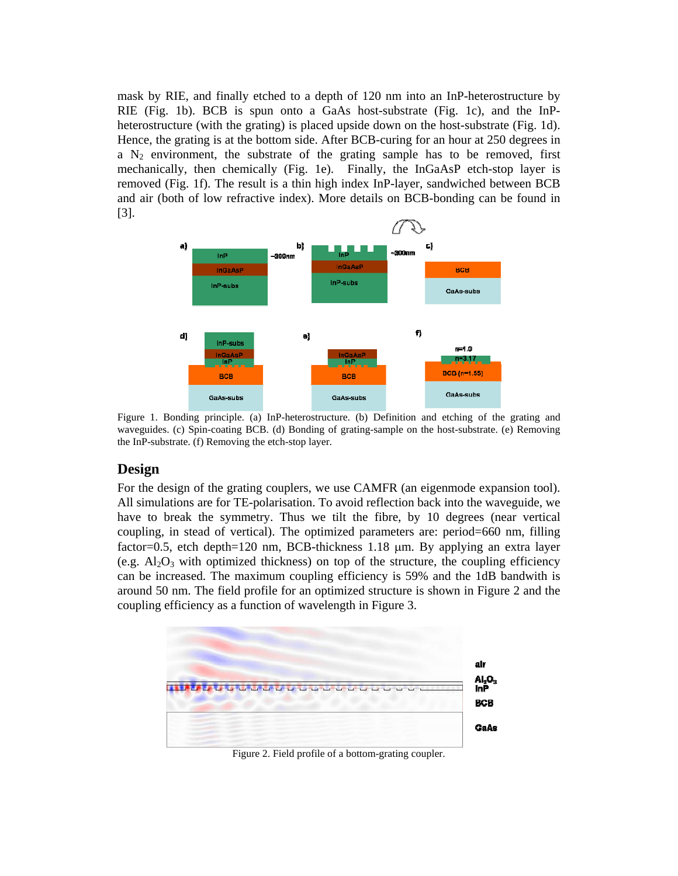mask by RIE, and finally etched to a depth of 120 nm into an InP-heterostructure by RIE (Fig. 1b). BCB is spun onto a GaAs host-substrate (Fig. 1c), and the InPheterostructure (with the grating) is placed upside down on the host-substrate (Fig. 1d). Hence, the grating is at the bottom side. After BCB-curing for an hour at 250 degrees in a  $N_2$  environment, the substrate of the grating sample has to be removed, first mechanically, then chemically (Fig. 1e). Finally, the InGaAsP etch-stop layer is removed (Fig. 1f). The result is a thin high index InP-layer, sandwiched between BCB and air (both of low refractive index). More details on BCB-bonding can be found in [3].



Figure 1. Bonding principle. (a) InP-heterostructure. (b) Definition and etching of the grating and waveguides. (c) Spin-coating BCB. (d) Bonding of grating-sample on the host-substrate. (e) Removing the InP-substrate. (f) Removing the etch-stop layer.

# **Design**

For the design of the grating couplers, we use CAMFR (an eigenmode expansion tool). All simulations are for TE-polarisation. To avoid reflection back into the waveguide, we have to break the symmetry. Thus we tilt the fibre, by 10 degrees (near vertical coupling, in stead of vertical). The optimized parameters are: period=660 nm, filling factor=0.5, etch depth=120 nm, BCB-thickness 1.18 µm. By applying an extra layer (e.g.  $\text{Al}_2\text{O}_3$  with optimized thickness) on top of the structure, the coupling efficiency can be increased. The maximum coupling efficiency is 59% and the 1dB bandwith is around 50 nm. The field profile for an optimized structure is shown in Figure 2 and the coupling efficiency as a function of wavelength in Figure 3.



Figure 2. Field profile of a bottom-grating coupler.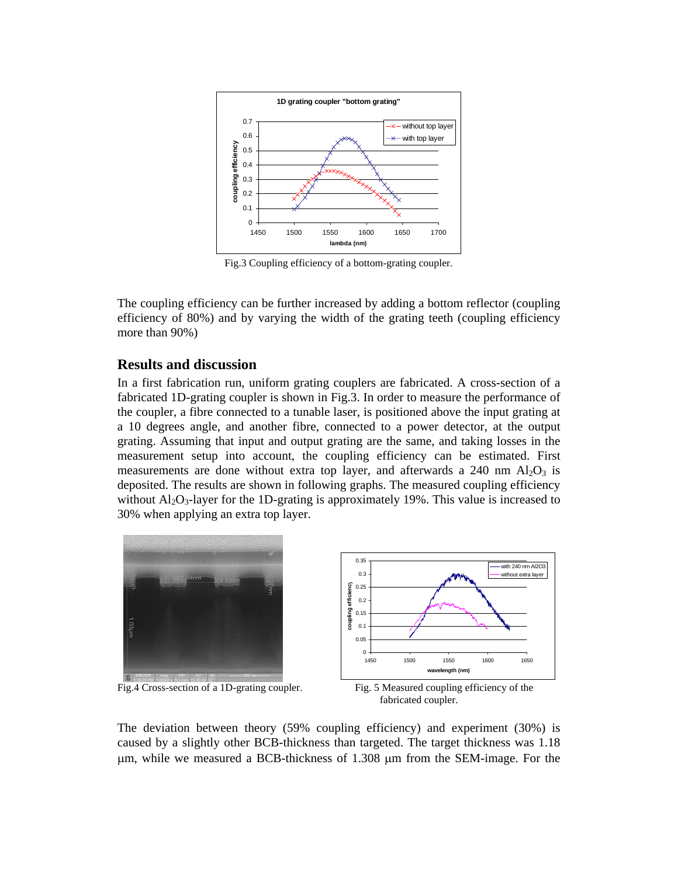

Fig.3 Coupling efficiency of a bottom-grating coupler.

The coupling efficiency can be further increased by adding a bottom reflector (coupling efficiency of 80%) and by varying the width of the grating teeth (coupling efficiency more than 90%)

## **Results and discussion**

In a first fabrication run, uniform grating couplers are fabricated. A cross-section of a fabricated 1D-grating coupler is shown in Fig.3. In order to measure the performance of the coupler, a fibre connected to a tunable laser, is positioned above the input grating at a 10 degrees angle, and another fibre, connected to a power detector, at the output grating. Assuming that input and output grating are the same, and taking losses in the measurement setup into account, the coupling efficiency can be estimated. First measurements are done without extra top layer, and afterwards a 240 nm  $A<sub>12</sub>O<sub>3</sub>$  is deposited. The results are shown in following graphs. The measured coupling efficiency without  $A<sub>1</sub>Q<sub>3</sub>$ -layer for the 1D-grating is approximately 19%. This value is increased to 30% when applying an extra top layer.



Fig.4 Cross-section of a 1D-grating coupler. Fig. 5 Measured coupling efficiency of the



fabricated coupler.

The deviation between theory (59% coupling efficiency) and experiment (30%) is caused by a slightly other BCB-thickness than targeted. The target thickness was 1.18 µm, while we measured a BCB-thickness of 1.308 µm from the SEM-image. For the